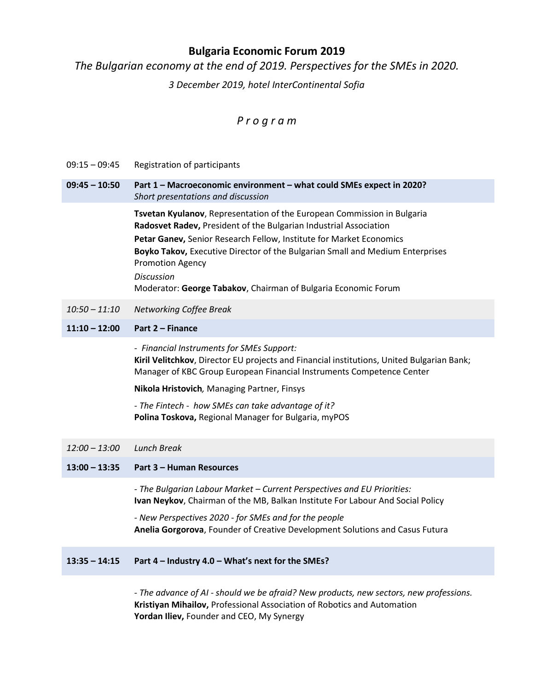## **Bulgaria Economic Forum 2019**

*The Bulgarian economy at the end of 2019. Perspectives for the SMEs in 2020.*

*3 December 2019, hotel InterContinental Sofia*

# *P r o g r a m*

- 09:15 09:45 Registration of participants
- **09:45 – 10:50 Part 1 – Macroeconomic environment – what could SMEs expect in 2020?**  *Short presentations and discussion*

**Tsvetan Kyulanov**, Representation of the European Commission in Bulgaria **Radosvet Radev,** President of the Bulgarian Industrial Association **Petar Ganev,** Senior Research Fellow, Institute for Market Economics **Boyko Takov,** Executive Director of the Bulgarian Small and Medium Enterprises Promotion Agency *Discussion*

Moderator: **George Tabakov**, Chairman of Bulgaria Economic Forum

*10:50 – 11:10 Networking Coffee Break*

### **11:10 – 12:00 Part 2 – Finance**

*- Financial Instruments for SMEs Support:* **Kiril Velitchkov**, Director EU projects and Financial institutions, United Bulgarian Bank; Manager of KBC Group European Financial Instruments Competence Center

**Nikola Hristovich***,* Managing Partner, Finsys

*- The Fintech - how SMEs can take advantage of it?* **Polina Toskova,** Regional Manager for Bulgaria, myPOS

*12:00 – 13:00 Lunch Break*

#### **13:00 – 13:35 Part 3 – Human Resources**

*- The Bulgarian Labour Market – Current Perspectives and EU Priorities:* **Ivan Neykov**, Chairman of the MB, Balkan Institute For Labour And Social Policy

*- New Perspectives 2020 - for SMEs and for the people* **Anelia Gorgorova**, Founder of Creative Development Solutions and Casus Futura

### **13:35 – 14:15 Part 4 – Industry 4.0 – What's next for the SMEs?**

*- The advance of AI - should we be afraid? New products, new sectors, new professions.*  **Kristiyan Mihailov,** Professional Association of Robotics and Automation **Yordan Iliev,** Founder and CEO, My Synergy